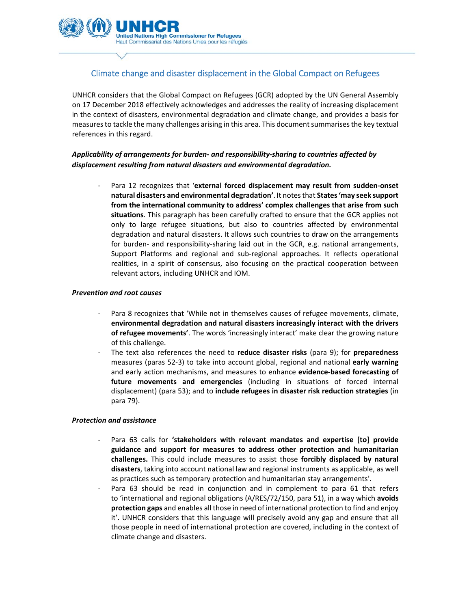

# Climate change and disaster displacement in the Global Compact on Refugees

UNHCR considers that the Global Compact on Refugees (GCR) adopted by the UN General Assembly on 17 December 2018 effectively acknowledges and addresses the reality of increasing displacement in the context of disasters, environmental degradation and climate change, and provides a basis for measures to tackle the many challenges arising in this area. This document summarises the key textual references in this regard.

## *Applicability of arrangements for burden‐ and responsibility‐sharing to countries affected by displacement resulting from natural disasters and environmental degradation.*

‐ Para 12 recognizes that '**external forced displacement may result from sudden‐onset natural disasters and environmental degradation'**. It notesthat **States'may seek support from the international community to address' complex challenges that arise from such situations**. This paragraph has been carefully crafted to ensure that the GCR applies not only to large refugee situations, but also to countries affected by environmental degradation and natural disasters. It allows such countries to draw on the arrangements for burden- and responsibility-sharing laid out in the GCR, e.g. national arrangements, Support Platforms and regional and sub‐regional approaches. It reflects operational realities, in a spirit of consensus, also focusing on the practical cooperation between relevant actors, including UNHCR and IOM.

#### *Prevention and root causes*

- Para 8 recognizes that 'While not in themselves causes of refugee movements, climate, **environmental degradation and natural disasters increasingly interact with the drivers of refugee movements'**. The words 'increasingly interact' make clear the growing nature of this challenge.
- ‐ The text also references the need to **reduce disaster risks** (para 9); for **preparedness** measures (paras 52‐3) to take into account global, regional and national **early warning** and early action mechanisms, and measures to enhance **evidence‐based forecasting of future movements and emergencies** (including in situations of forced internal displacement) (para 53); and to **include refugees in disaster risk reduction strategies** (in para 79).

### *Protection and assistance*

- ‐ Para 63 calls for **'stakeholders with relevant mandates and expertise [to] provide guidance and support for measures to address other protection and humanitarian challenges.** This could include measures to assist those **forcibly displaced by natural disasters**, taking into account national law and regional instruments as applicable, as well as practices such as temporary protection and humanitarian stay arrangements'.
- Para 63 should be read in conjunction and in complement to para 61 that refers to 'international and regional obligations (A/RES/72/150, para 51), in a way which **avoids protection gaps** and enables all those in need of international protection to find and enjoy it'. UNHCR considers that this language will precisely avoid any gap and ensure that all those people in need of international protection are covered, including in the context of climate change and disasters.